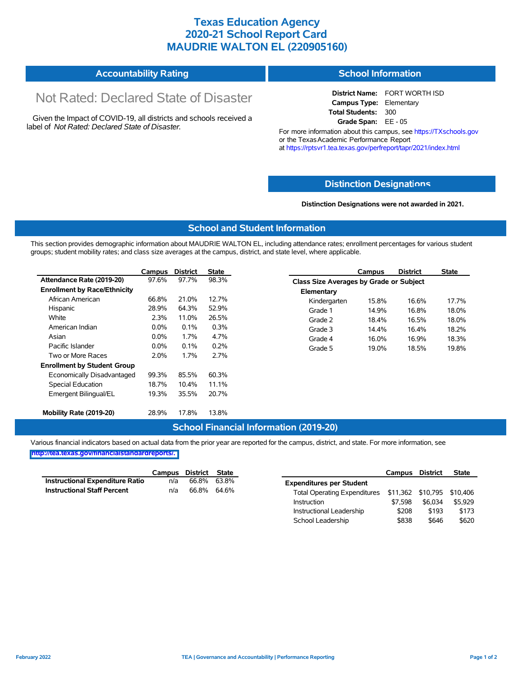## **Texas Education Agency 2020-21 School Report Card MAUDRIE WALTON EL (220905160)**

#### **Accountability Rating School Information**

# Not Rated: Declared State of Disaster

Given the Impact of COVID-19, all districts and schools received a label of *Not Rated: Declared State of Disaster.*

**District Name:** FORT WORTH ISD **Campus Type:** Elementary **Total Students:** 300 **Grade Span:** EE - 05

For more information about this campus, see https://TXschools.gov or the Texas Academic Performance Report at https://rptsvr1.tea.texas.gov/perfreport/tapr/2021/index.html

#### **Distinction Designat[ions](https://TXschools.gov)**

**Distinction Designations were not awarded in 2021.**

Instructional Leadership \$208 \$193 \$173 School Leadership  $$838$  \$646 \$620

#### **School and Student Information**

This section provides demographic information about MAUDRIE WALTON EL, including attendance rates; enrollment percentages for various student groups; student mobility rates; and class size averages at the campus, district, and state level, where applicable.

|                                     | Campus  | <b>District</b> | State | <b>District</b><br>Campus               | <b>State</b> |
|-------------------------------------|---------|-----------------|-------|-----------------------------------------|--------------|
| Attendance Rate (2019-20)           | 97.6%   | 97.7%           | 98.3% | Class Size Averages by Grade or Subject |              |
| <b>Enrollment by Race/Ethnicity</b> |         |                 |       | Elementary                              |              |
| African American                    | 66.8%   | 21.0%           | 12.7% | 16.6%<br>Kindergarten<br>15.8%          | 17.7%        |
| Hispanic                            | 28.9%   | 64.3%           | 52.9% | 16.8%<br>Grade 1<br>14.9%               | 18.0%        |
| White                               | 2.3%    | 11.0%           | 26.5% | Grade 2<br>16.5%<br>18.4%               | 18.0%        |
| American Indian                     | $0.0\%$ | 0.1%            | 0.3%  | Grade 3<br>14.4%<br>16.4%               | 18.2%        |
| Asian                               | $0.0\%$ | 1.7%            | 4.7%  | Grade 4<br>16.0%<br>16.9%               | 18.3%        |
| Pacific Islander                    | $0.0\%$ | 0.1%            | 0.2%  | 18.5%<br>Grade 5<br>19.0%               | 19.8%        |
| Two or More Races                   | 2.0%    | 1.7%            | 2.7%  |                                         |              |
| <b>Enrollment by Student Group</b>  |         |                 |       |                                         |              |
| Economically Disadvantaged          | 99.3%   | 85.5%           | 60.3% |                                         |              |
| Special Education                   | 18.7%   | 10.4%           | 11.1% |                                         |              |
| Emergent Bilingual/EL               | 19.3%   | 35.5%           | 20.7% |                                         |              |
|                                     |         |                 |       |                                         |              |
| Mobility Rate (2019-20)             | 28.9%   | 17.8%           | 13.8% |                                         |              |

#### **School Financial Information (2019-20)**

Various financial indicators based on actual data from the prior year are reported for the campus, district, and state. For more information, see

**[http://tea.texas.gov/financialstandardreports/.](http://tea.texas.gov/financialstandardreports/)**

|                                    | Campus | District State |             |                                                         | Campus  | <b>District</b> | <b>State</b> |
|------------------------------------|--------|----------------|-------------|---------------------------------------------------------|---------|-----------------|--------------|
| Instructional Expenditure Ratio    | n/a    | 66.8%          | 63.8%       | <b>Expenditures per Student</b>                         |         |                 |              |
| <b>Instructional Staff Percent</b> | n/a    |                | 66.8% 64.6% | Total Operating Expenditures \$11,362 \$10,795 \$10,406 |         |                 |              |
|                                    |        |                |             | Instruction                                             | \$7.598 | \$6.034         | \$5.929      |